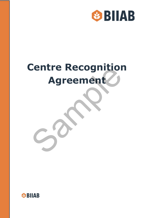

# **Centre Recognition Agreement** Entre Recognition

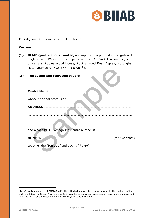

**This Agreement** is made on 01 March 2021

# **Parties**

**(1) BIIAB Qualifications Limited,** a company incorporated and registered in England and Wales with company number 10054831 whose registered office is at Robins Wood House, Robins Wood Road Aspley, Nottingham, Nottinghamshire, NG8 3NH ("**BIIAB**" **[1](#page-1-0)**).

## **(2) The authorised representative of**

| Nottinghamshire, NG8 3NH ("BIIAB" 1).       |  |
|---------------------------------------------|--|
| The authorised representative of            |  |
|                                             |  |
| whose principal office is at                |  |
| <b>ADDRESS </b>                             |  |
|                                             |  |
|                                             |  |
|                                             |  |
| and whose BIIAB Recognised Centre number is |  |
| <b>NUMBER</b>                               |  |
| together the "Parties" and each a "Party".  |  |

<span id="page-1-0"></span><sup>1</sup> BIIAB is a trading name of BIIAB Qualifications Limited, a recognised awarding organisation and part of the Skills and Education Group. Any reference to BIIAB, the company address, company registration numbers and company VAT should be deemed to mean BIIAB Qualifications Limited.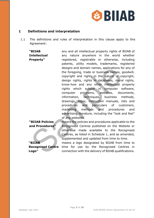

## **1 Definitions and interpretation**

1.1 The definitions and rules of interpretation in this clause apply to this Agreement:

**"BIIAB Intellectual Property"** any and all intellectual property rights of BIIAB of any nature anywhere in the world whether registered, registrable or otherwise, including patents, utility models, trademarks, registered designs and domain names, applications for any of the foregoing, trade or business names, goodwill, copyright and rights in the nature of copyright, design rights, rights in databases, moral rights, know-how and any other intellectual property rights which subsist in computer software, computer programs, websites, documents, information, techniques, business methods, drawings, logos, instruction manuals, lists and procedures and particulars of customers, marketing methods and procedures and advertising literature, including the "look and feel" of any websites. designs and domain names, applications for the foregoing, trade or business names, and the copyright and rights in the nature of coconsume design rights which substitute in the nature of computer scomputer programs, websit

## **"BIIAB Policies and Procedures"**

means the policies and procedures applicable to the Recognised Centres published on the Website or otherwise made available to the Recognised Centres, as listed in Schedule 1, and as amended, supplemented and updated from time to time.

**"BIIAB Recognised Centre Logo"**

means a logo designated by BIIAB from time to time for use by the Recognised Centres in connection with the delivery of BIIAB qualifications.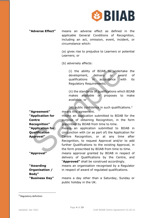

**"Adverse Effect"** means an adverse effect as defined in the applicable General Conditions of Recognition, including an act, omission, event, incident, or circumstance which:

> (a) gives rise to prejudice to Learners or potential Learners; or

(b) adversely affects:

(i) the ability of BIIAB to undertake the development, delivery or award of qualifications in accordance with its Regulatory Requirements;

(ii) the standards of qualifications which BIIAB makes available or proposes to make available; or

(iii) public confidence in such qualifications.<sup>[2](#page-3-0)</sup> **"Agreement"** means this agreement.

> means an application submitted to BIIAB for the purpose of obtaining Recognition, in the form prescribed by BIIAB from time to time.

means an application submitted to BIIAB in conjunction with (or as part of) the Application for Centre Recognition, or at any time after Recognition, to request Approval and/or to add further Qualifications to the existing Approval, in the form prescribed by BIIAB from time to time. (i) the ability of BIIAB to undert<br>
development, delivery or away qualifications in accordance we<br>
regulatory Requirements;<br>
(ii) the standards of qualifications which<br>
makes available or proposes to<br>
available; or<br>
(iii)

**"Approval"** means approval granted by BIIAB in respect of delivery of Qualifications by the Centre, and "**Approved"** shall be construed accordingly.

> means an organisation recognised by a Regulator in respect of award of regulated qualifications.

**"Business Day"** means a day other than a Saturday, Sunday or public holiday in the UK.

**"Application for Centre Recognition" "Application for Qualification Approval"**

**"Awarding Organisation / Body"**

<span id="page-3-0"></span><sup>2</sup> Regulatory definition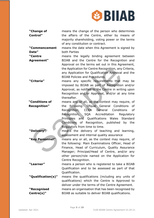

**"Change of Control"** means the change of the person who determines the affairs of the Centre, either by means of majority shareholding, voting power or the terms of any constitution or contract.

**"Commencement Date"** means the date when this Agreement is signed by both Parties

**"Centre Agreement"** means the legally binding agreement between BIIAB and the Centre for the Recognition and Approval on the terms set out in this Agreement, the Application for Centre Recognition, any Criteria, any Application for Qualification Approval and the BIIAB Policies and Procedures.

**"Criteria"** means any specific requirements that may be imposed by BIIAB as part of Recognition and/or Approval, as notified to the Centre in writing upon Recognition and/or Approval, and/or at any time thereafter.

**"Conditions of Recognition"** means any or all, as the context may require, of the following: Ofqual General Conditions of Recognition, CCEA General Conditions of Recognition, SQA Accreditation Regulatory Principles and Qualifications Wales Standard Conditions of Recognition, published by the Regulators from time to time. the Application for Centre Recognition, any<br>
any Application for Qualification Approval<br>
BIIAB Policies and Procedures.<br>
Triteria"
means any specific requirements that<br>
imposed by BIIAB as part of Recognition<br>
Approval, as

**"Delivery"** means the delivery of teaching and learning, assessment and internal quality assurance

**"Key Personnel"** means any or all, as the context may require, of the following: Main Examinations Officer, Head of Finance, Head of Curriculum, Quality Assurance Manager; Principal/Head of Centre, and/or any other person/role named on the Application for Centre Recognition.

**"Learner"** means a person who is registered to take a BIIAB Qualification and to be assessed as part of that Qualification.

**"Qualification(s)"** means the qualifications (including any units of qualifications) which the Centre is Approved to deliver under the terms of the Centre Agreement. **"Recognised Centre(s)"** means an organisation that has been recognised by BIIAB as suitable to deliver BIIAB qualifications.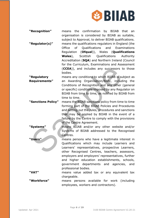

**"Recognition"** means the confirmation by BIIAB that an organisation is considered by BIIAB as suitable, subject to Approval, to deliver BIIAB qualifications. **"Regulator(s)"** means the qualifications regulators in England (the Office of Qualifications and Examinations Regulation (**Ofqual**)), Wales (**Qualifications Wales**), Scottish Qualifications Authority Accreditation (**SQA**) and Northern Ireland (Council for the Curriculum, Examinations and Assessment (**CCEA**)), and includes any successors to those bodies.

**"Regulatory Requirements"** means any conditions to which BIIAB is subject as an Awarding Organisation/Body, including the Conditions of Recognition and any other (general or specific) conditions imposed by any Regulator on BIIAB from time to time, as notified by BIIAB from time to time.

**"Sanctions Policy"** means the BIIAB sanctions policy from time to time forming part of the BIIAB Policies and Procedures and setting out the rules, procedures and sanctions that may be applied by BIIAB in the event of a failure by the Centre to comply with the provisions of the Centre Agreement. (CCEA)), and includes any successors to bodies.<br>
Megulatory<br>
means any conditions to which BITAB is su<br>
means any conditions of Recognition and any other<br>
or specific) conditions imposed by any Regulation<br>
EITAB from time

**"Systems"** means BIIAB and/or any other website and/or Systems of BIIAB addressed to the Recognised Centres.

**"Users"** means persons who have a legitimate interest in Qualifications which may include Learners and Learners' representatives, prospective Learners, other Recognised Centres, teachers, assessors, employers and employers' representatives, further and higher education establishments, schools, government departments and agencies, and professional bodies.

**"VAT"** means value added tax or any equivalent tax chargeable.

**"Workforce"** means persons available for work (including employees, workers and contractors).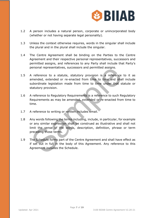

- 1.2 A person includes a natural person, corporate or unincorporated body (whether or not having separate legal personality).
- 1.3 Unless the context otherwise requires, words in the singular shall include the plural and in the plural shall include the singular.
- 1.4 The Centre Agreement shall be binding on the Parties to the Centre Agreement and their respective personal representatives, successors and permitted assigns, and references to any Party shall include that Party's personal representatives, successors and permitted assigns.
- 1.5 A reference to a statute, statutory provision is a reference to it as amended, extended or re-enacted from time to time and shall include subordinate legislation made from time to time under that statute or statutory provision.
- 1.6 A reference to Regulatory Requirements is a reference to such Regulatory Requirements as may be amended, extended or re-enacted from time to time.
- 1.7 A reference to writing or written includes email.
- 1.8 Any words following the terms including, include, in particular, for example or any similar expression shall be construed as illustrative and shall not limit the sense of the words, description, definition, phrase or term preceding those terms. personal representatives, successors and permitted assigns.<br>
A reference to a statute, statutory provision is a reference<br>
amended, extended or re-enacted from time to time and shal<br>
subordinate legislation made from time
- 1.9 The Schedule forms part of the Centre Agreement and shall have effect as if set out in full in the body of this Agreement. Any reference to this Agreement includes the Schedule.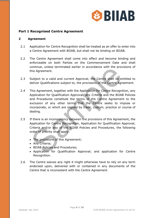

# **Part 1 Recognised Centre Agreement**

## **2 Agreement**

- 2.1 Application for Centre Recognition shall be treated as an offer to enter into a Centre Agreement with BIIAB, but shall not be binding on BIIAB.
- 2.2 The Centre Agreement shall come into effect and become binding and enforceable on both Parties on the Commencement Date and shall continue, unless terminated earlier in accordance with the provisions of this Agreement.
- 2.3 Subject to a valid and current Approval, the Centre shall be entitled to deliver Qualifications subject to, the provisions of the Centre Agreement.
- 2.4 This Agreement, together with the Application for Centre Recognition, any Application for Qualification Approval, any Criteria and the BIIAB Policies and Procedures constitute the terms of the Centre Agreement to the exclusion of any other terms that the Centre seeks to impose or incorporate, or which are implied by trade, custom, practice or course of dealing. Continue, unless terminated earlier in accordance with the providing Agreement.<br>
Subject to a valid and current Approval, the Centre shall be endeliver Qualifications subject to, the provisions of the Centre Agre<br>
This Agr
- 2.5 If there is an inconsistency between the provisions of this Agreement, the Application for Centre Recognition, Application for Qualification Approval, Criteria and/or any of the BIIAB Policies and Procedures, the following order of priority shall apply:
	- The provisions of this Agreement;
	- Any Criteria;
	- BIIAB Policies and Procedures;
	- Application for Qualification Approval; and application for Centre Recognition.
- 2.6 The Centre waives any right it might otherwise have to rely on any term endorsed upon, delivered with or contained in any documents of the Centre that is inconsistent with the Centre Agreement.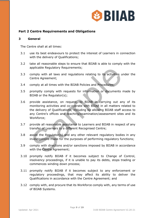

# **Part 2 Centre Requirements and Obligations**

#### **3 General**

The Centre shall at all times:

- 3.1 use its best endeavours to protect the interest of Learners in connection with the delivery of Qualifications;
- 3.2 take all reasonable steps to ensure that BIIAB is able to comply with the applicable Regulatory Requirements;
- 3.3 comply with all laws and regulations relating to its activities under the Centre Agreement;
- 3.4 comply at all times with the BIIAB Policies and Procedures;
- 3.5 promptly comply with requests for information or documents made by BIIAB or the Regulator(s);
- 3.6 provide assistance, on request, to BIIAB in carrying out any of its monitoring activities and co-operate with BIIAB in all matters related to the delivery of Qualifications, including by allowing BIIAB staff access to any Centre's offices and teaching/examination/assessment sites and its Workforce; applicable Regulatory Requirements;<br>comply with all laws and regulations relating to its activities u<br>Centre Agreement;<br>comply at all times with the BIIAB Policies and Procedures;<br>promptly comply with requests for informat
- 3.7 provide all reasonable assistance to Learners and BIIAB in respect of any transfer of Learners to a different Recognised Centre;
- 3.8 assist the Regulator(s) and any other relevant regulatory bodies in any investigations made for the purposes of performing regulatory functions;
- 3.9 comply with directions and/or sanctions imposed by BIIAB in accordance with the Centre Agreement;
- 3.10 promptly notify BIIAB if it becomes subject to Change of Control, insolvency proceedings, if it is unable to pay its debts, stops trading or commences winding down process;
- 3.11 promptly notify BIIAB if it becomes subject to any enforcement or regulatory proceedings, that may affect its ability to deliver the Qualifications in accordance with the Centre Agreement; and
- 3.12 comply with, and procure that its Workforce comply with, any terms of use of BIIAB Systems.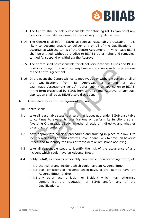

- 3.13 The Centre shall be solely responsible for obtaining (at its own cost) any licences or permits necessary for the delivery of Qualifications.
- 3.14 The Centre shall inform BIIAB as soon as reasonably practicable if it is likely to become unable to deliver any or all of the Qualifications in accordance with the terms of the Centre Agreement, in which case BIIAB shall be entitled, without prejudice to BIIAB's other rights and remedies, to modify, suspend or withdraw the Approval.
- 3.15 The Centre shall be responsible for all delivery locations it uses and BIIAB reserves the right to visit any at any time in accordance with the provisions of the Centre Agreement.
- 3.16 In the event the Centre wishes to modify, add or withdraw certain or all of the Qualifications from its Approval, or amend or add examination/assessment venue), it shall submit an application to BIIAB, in the form prescribed by BIIAB from time to time. Approval of any such application shall be at BIIAB's sole discretion. reserves the right to visit any at any time in accordance with the p<br>of the Centre Agreement.<br>In the event the Centre wishes to modify, add or withdraw certain<br>the Qualifications from its Approval, or amend<br>examination/ass

## **4 Identification and management of risk**

The Centre shall:

- 4.1 take all reasonable steps to ensure that it does not render BIIAB unsuitable to continue to award its qualifications or perform its functions as an Awarding Organisation/Body, whether directly or indirectly, and whether by any act or omission;
- 4.2 have appropriate policies, procedures and training in place to allow it to identify which acts or omissions will have, or are likely to have, an Adverse Effect, and to identify the risks of these acts or omissions occurring;
- 4.3 take all reasonable steps to identify the risk of the occurrence of any incident which could have an Adverse Effect;
- 4.4 notify BIIAB, as soon as reasonably practicable upon becoming aware, of:
	- 4.4.1 the risk of any incident which could have an Adverse Effect;
	- 4.4.2 acts, omissions or incidents which have, or are likely to have, an Adverse Effect; and/or
	- 4.4.3 any other act, omission or incident which may otherwise compromise the reputation of BIIAB and/or any of the Qualifications;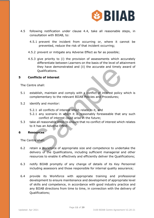

- 4.5 following notification under clause 4.4, take all reasonable steps, in consultation with BIIAB, to:
	- 4.5.1 prevent the incident from occurring or, where it cannot be prevented, reduce the risk of that incident occurring;
	- 4.5.2 prevent or mitigate any Adverse Effect as far as possible;
	- 4.5.3 give priority to (i) the provision of assessments which accurately differentiate between Learners on the basis of the level of attainment they have demonstrated and (ii) the accurate and timely award of Qualifications.

#### **5 Conflicts of interest**

The Centre shall:

- 5.1 establish, maintain and comply with a conflict of interest policy which is complementary to the relevant BIIAB Policies and Procedures;
- 5.2 identify and monitor:
	- 5.2.1 all conflicts of interest which relate to it, and
	- 5.2.1 any scenario in which it is reasonably foreseeable that any such conflict of interest could arise in the future;
- 5.3 take all reasonable steps to ensure that no conflict of interest which relates to it has an Adverse Effect.

#### **6 Resources**

The Centre shall:

- 6.2 retain a Workforce of appropriate size and competence to undertake the delivery of the Qualifications, including sufficient managerial and other resources to enable it effectively and efficiently deliver the Qualifications; The state and the state and the state and the state and the state and the state of interest<br>
Intre shall:<br>
Samplementary to the relevant BIIAB Policies and Procedures;<br>
Samplementary to the relevant BIIAB Policies and Proc
- 6.3 notify BIIAB promptly of any change of details of its Key Personnel including assessors and those responsible for internal quality assurance;
- 6.4 provide its Workforce with appropriate training and professional development to ensure maintenance and development of appropriate level of skills and competence, in accordance with good industry practice and any BIIAB directions from time to time, in connection with the delivery of Qualifications;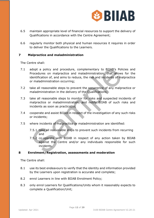

- 6.5 maintain appropriate level of financial resources to support the delivery of Qualifications in accordance with the Centre Agreement;
- 6.6 regularly monitor both physical and human resources it requires in order to deliver the Qualifications to the Learners.

## **7 Malpractice and maladministration**

The Centre shall:

- 7.1 adopt a policy and procedure, complementary to BIIAB's Policies and Procedures on malpractice and maladministration, that allows for the identification of, and aims to reduce, the risk and incidents of malpractice or maladministration occurring; adopt a policy and procedure, complementary to BIIAB's Poliprocedures on malpractice and maladministration, that allows<br>Procedures on malpractice and maladministration, that allows<br>or maladministration occurring;<br>take all
- 7.2 take all reasonable steps to prevent the occurrence of any malpractice or maladministration in the delivery of the Qualifications;
- 7.3 take all reasonable steps to monitor for risks and suspected incidents of malpractice or maladministration, and notify BIIAB of such risks and incidents as soon as practicable;
- 7.4 cooperate and assist BIIAB in respect of the investigation of any such risks or incidents;
- 7.5 where incidents of malpractice or maladministration are identified:
	- 7.5.1 take all reasonable steps to prevent such incidents from recurring and
	- 7.5.2 co-operate with BIIAB in respect of any action taken by BIIAB against the Centre and/or any individuals responsible for such incidents.

#### **8 Enrolment/Registration, assessments and moderation**

The Centre shall:

- 8.1 use its best endeavours to verify that the identity and information provided by the Learners upon registration is accurate and complete;
- 8.2 enrol Learners in line with BIIAB Enrolment Policy;
- 8.3 only enrol Learners for Qualifications/Units whom it reasonably expects to complete a Qualification/Unit;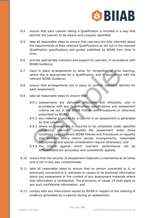

- 8.4 ensure that each Learner taking a Qualification is enrolled in a way that permits the Learner to be clearly and uniquely identified;
- 8.5 take all reasonable steps to ensure that Learners are fully informed about the requirements of their selected Qualifications as set out in the relevant Qualification specifications and guides published by BIIAB from time to time;
- 8.6 provide appropriate induction and support to Learners, in accordance with BIIAB Guidance;
- 8.7 have in place arrangements to allow for recognition of prior learning, where this is appropriate for a Qualification, and in accordance with the relevant BIIAB Guidance;
- 8.8 ensure that arrangements are in place to confirm Learners' identity for each assessment;
- 8.9 take all reasonable steps to ensure that:
	- 8.9.1 assessments are delivered effectively and efficiently, and in accordance with any Qualifications specifications and assessment criteria set out in the BIIAB Policies and Procedures or otherwise prescribed by BIIAB;
	- 8.9.2 any material produced by a Learner in an assessment is generated by that Learner;
- 8.9.3 where an assessment is required to be completed under specified conditions, Learners complete the assessment under those conditions (except where BIIAB Policies and Procedures on equality and diversity policy and/or access arrangements, reasonable adjustments and special consideration require otherwise); and the in place arrangements to allow for recognition of prior<br>
where this is appropriate for a Qualification, and in accordance<br>
relevant BIIAB Guidance;<br>
ensure that arrangements are in place to confirm Learners' ideach<br>
as
	- 8.9.4 the criteria against which Learners' performance will be differentiated are accurately and consistently applied;
- 8.10 ensure that the security of assessment materials is maintained at all times and is not in any way compromised;
- 8.11 take all reasonable steps to ensure that no person connected to it, or previously connected to it, discloses or causes to be disclosed information about any assessment or the content of any assessment materials where that information is confidential. The provisions of clause 19 shall apply to any such confidential information; and
- 8.12 comply with any instructions issued by BIIAB in respect of the marking of evidence generated by a Learner during an assessment.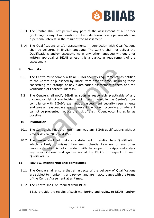

- 8.13 The Centre shall not permit any part of the assessment of a Learner (including by way of moderation) to be undertaken by any person who has a personal interest in the result of the assessment.
- 8.14 The Qualifications and/or assessments in connection with Qualifications shall be delivered in English language. The Centre shall not deliver the Qualifications and/or assessments in any other language without prior written approval of BIIAB unless it is a particular requirement of the assessment.

## **9 Security**

- 9.1 The Centre must comply with all BIIAB security requirements, as notified to the Centre or published by BIIAB from time to time, including those concerning the storage of any examination/assessment papers and the verification of Learners' identity.
- 9.2 The Centre shall notify BIIAB as soon as reasonably practicable of any incident or risk of any incident which could result in the Centre's noncompliance with BIIAB's examination/assessment security requirements and take all reasonable steps to prevent the breach occurring, or where it cannot be prevented, reduce the risk of that incident occurring as far as possible. **Example 15**<br>
The Centre must comply with all BIIAB security requirements, as<br>
to the Centre or published by BIIAB from time to time, includi<br>
concerning the storage of any examination/assessment papers<br>
verification of Le

#### **10 Promotion**

- 10.1 The Centre shall not promote in any way any BIIAB qualifications without a valid and current Approval.
- 10.2 The Centre shall not make any statement in relation to a Qualification which is likely to mislead Learners, potential Learners or any other persons, or which is not consistent with the scope of the Approval and/or any specifications and guides issued by BIIAB in respect of such Qualifications.

## **11 Review, monitoring and complaints**

- 11.1 The Centre shall ensure that all aspects of the delivery of Qualifications are subject to monitoring and review, and are in accordance with the terms of the Centre Agreement at all times.
- 11.2 The Centre shall, on request from BIIAB:
	- 11.2. provide the results of such monitoring and review to BIIAB; and/or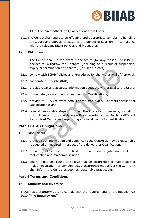

- 11.2.3 obtain feedback on Qualifications from Users.
- 11.3 The Centre shall operate an effective and appropriate complaints handling procedure and appeals process for the benefit of Learners, in compliance with the relevant BIIAB Policies and Procedures.

#### **12 Withdrawal**

The Centre shall, in the event it decides to (for any reason), or if BIIAB decides to, withdraw the Approval (including as a result of suspension, expiry or termination of Approval) (in full or in part):

- 12.1 comply with BIIAB Policies and Procedures for the withdrawal of Approval;
- 12.2 cooperate fully with BIIAB;
- 12.3 provide clear and accurate information about the withdrawal to the Users;
- 12.4 immediately cease to enrol Learners for Qualifications;
- 12.5 provide to BIIAB relevant details of the status of all Learners enrolled for Qualifications; and
- 12.6 take all reasonable steps to protect the interests of Learners, including, but not limited to, by assisting with or securing a transfer to a different Recognised Centre and supporting any valid claims for certification. expiry or termination of Approval) (in full or in part):<br>
comply with BIIAB Policies and Procedures for the withdrawal of A<br>
cooperate fully with BIIAB;<br>
provide clear and accurate information about the withdrawal to the<br>

## **Part 3 BIIAB Obligations**

- 13 BIIAB shall:
- 13.1 provide such information and guidance to the Centre as may be reasonably requested or required in respect of the delivery of Qualifications;
- 13.2 provide guidance as to how best to prevent, investigate, and deal with malpractice and maladministration;
- 13.3 where it has any cause to believe that an occurrence of malpractice or maladministration, or any connected occurrence may affect the Centre, it shall inform the Centre as soon as reasonably practicable.

## **Part 4 Terms and Conditions**

#### **14 Equality and diversity**

BIIAB has a statutory duty to comply with the requirements of the Equality Act 2010 ("the **Equality Act**").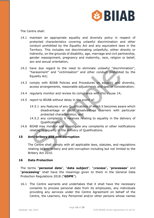

The Centre shall:

- 14.1 maintain an appropriate equality and diversity policy in respect of protected characteristics covering unlawful discrimination and other conduct prohibited by the Equality Act and any equivalent laws in the Territory. This includes not discriminating unlawfully, either directly or indirectly, on the grounds of disability, age, marriage and civil partnership, gender reassignment, pregnancy and maternity, race, religion or belief, sex and sexual orientation;
- 14.2 have due regard to the need to eliminate unlawful "discrimination", "harassment" and "victimisation" and other conduct prohibited by the Equality Act;
- 14.3 comply with BIIAB Policies and Procedures on equality and diversity, access arrangements, reasonable adjustments and special consideration;
- 14.4 regularly monitor and review its compliance with this clause 14;
- 14.5 report to BIIAB without delay in the event of:
	- 14.5.1 any features of any Qualifications of which it becomes aware which disadvantage or could disadvantage Learners with particular protected characteristics; and
	- 14.5.2 any complaints it receives relating to equality in the delivery of Qualifications.
- 14.6 BIIAB may monitor and investigate any complaints or other notifications relating to equality in the delivery of Qualifications.

# **15 Anti-bribery and anti-corruption**

The Centre shall comply with all applicable laws, statutes, and regulations relating to anti-bribery and anti-corruption including but not limited to the Bribery Act 2010. have due regard to the need to eliminate unlawful "discrim"<br>
"harassment" and "victimisation" and other conduct prohibited<br>
Equality Act;<br>
comply with BIIAB Policies and Procedures on equality and c<br>
access arrangements, r

## **16 Data Protection**

The terms "**personal data**", "**data subject**", "p**rocess**"**,** "**processes**" and "**processing**" shall have the meanings given to them in the General Data Protection Regulations 2018 ("**GDPR**").

16.1 The Centre warrants and undertakes that it shall have the necessary consents to process personal data from its employees, any individuals providing any services under the Centre Agreement on behalf of the Centre, the Learners, Key Personnel and/or other persons whose names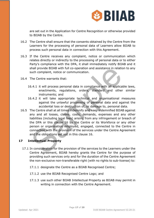

are set out in the Application for Centre Recognition or otherwise provided to BIIAB by the Centre.

- 16.2 The Centre shall ensure that the consents obtained by the Centre from the Learners for the processing of personal data of Learners allow BIIAB to process such personal data in connection with this Agreement.
- 16.3 If the Centre receives any complaint, notice or communication which relates directly or indirectly to the processing of personal data or to either Party's compliance with the DPA, it shall immediately notify BIIAB and it shall provide BIIAB with full co-operation and assistance in relation to any such complaint, notice or communication.
- 16.4 The Centre warrants that:
	- 16.4.1 it will process personal data in compliance with all applicable laws, enactments, regulations, orders, standard and other similar instruments; and
	- 16.4.2 it will take appropriate technical and organisational measures against the unlawful processing of personal data and against the accidental loss or destruction of, or damage to, personal data.
- 16.5 The Centre shall at all times indemnify and keep indemnified BIIAB against any and all losses, claims, costs, demands, expenses and any other liabilities (including legal fees) arising from any infringement or breach of the DPA or this clause 16 by the Centre or its Workforce or any other person or organisation employed, engaged, connected to the Centre in connection with the provision of the services under the Centre Agreement and the obligations set out in this clause 16. Shall provide BIIAB with full co-operation and assistance in relations<br>such complaint, notice or communication.<br>The Centre warrants that:<br>S.4.1 it will process personal data in compliance with all applica<br>enactments; regul

# **17 Intellectual Property**

- 17.1 In consideration for the provision of the services to the Learners under the Centre Agreement, BIIAB hereby grants the Centre for the purpose of providing such services only and for the duration of the Centre Agreement the non-exclusive non-transferable right (with no rights to sub-license) to:
	- 17.1.1 designate the Centre as a BIIAB Recognised Centre;
	- 17.1.2 use the BIIAB Recognised Centre Logo; and
	- 17.1.3 use such other BIIAB Intellectual Property as BIIAB may permit in writing in connection with the Centre Agreement.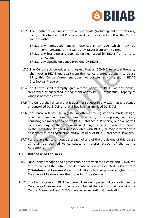

- 17.2 The Centre must ensure that all materials (including online materials) using BIIAB Intellectual Property produced by or on behalf of the Centre comply with:
	- 17.2.1 any limitations and/or restrictions on use which may be communicated to the Centre by BIIAB from time to time;
	- 17.2.1 any branding and copy guidelines issued by BIIAB from time to time; and
	- 17.2.3 any specific guidance provided by BIIAB.
	- 17.3 The Centre acknowledges and agrees that all BIIAB Intellectual Property shall vest in BIIAB and apart from the licence granted pursuant to clause 17.1, this Centre Agreement does not transfer any interest in BIIAB Intellectual Property.
- 17.4 The Centre shall promptly give written notice to BIIAB of any actual, threatened or suspected infringement of any BIIAB Intellectual Property of which it becomes aware.
- 17.5 The Centre shall ensure that it does not suggest in any way that it is owned or controlled by BIIAB or that it has been franchised by BIIAB.
- 17.6 The Centre will not use, register or attempt to register any mark, design, business name or domain name consisting or comprising or being confusingly similar to any of the BIIAB Intellectual Property, or do or permit to be done any act that may weaken, damage or be otherwise detrimental to the reputation or goodwill associated with BIIAB, or may interfere with or jeopardise the registration and/or validity of BIIAB Intellectual Property. The Centre acknowledges and agrees that all BIIAB Intellectual<br>shall vest in BIIAB and apart from the licence granted pursuant i<br>17.1, this Centre Agreement does not transfer any interest<br>Intellectual Property.<br>Intellectua
- 17.7 For the avoidance of doubt a breach of any of the provisions of this clause 17 shall be deemed to constitute a material breach of the Centre Agreement.

## **18 Database of Learners**

- 18.1 BIIAB acknowledges and agrees that, as between the Centre and BIIAB, the Centre owns all the data in the database of Learners created by the Centre ("**Database of Learners**") and that all intellectual property rights in the Database of Learners are the property of the Centre.
- 18.2 The Centre grants to BIIAB a non-exclusive and perpetual licence to use the Database of Learners and the data contained therein in connection with the Centre Agreement and BIIAB's role as an Awarding Organisation.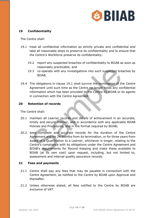

## **19 Confidentiality**

The Centre shall:

- 19.1 treat all confidential information as strictly private and confidential and take all reasonable steps to preserve its confidentiality and to ensure that the Centre's Workforce preserve its confidentiality;
	- 19.2 report any suspected breaches of confidentiality to BIIAB as soon as reasonably practicable; and
	- 19.3 co-operate with any investigations into such suspected breaches by BIIAB.
- 19.4 The obligations in clause 19.1 shall survive the termination of the Centre Agreement until such time as the Centre no longer holds any confidential information which has been provided to the Centre by BIIAB or its agents in connection with the Centre Agreement.

## **20 Retention of records**

The Centre shall:

- 20.1 maintain all Learner records and details of achievement in an accurate, timely and secure manner, and in accordance with any applicable BIIAB Policies and Procedures, and in the format required by BIIAB;
- 20.2 keep complete and accurate records for the duration of the Centre Agreement and for 24 months from its termination, or for three years from award of a Qualification to a Learner, whichever is longer, relating to the Centre's compliance with its obligations under the Centre Agreement and BIIAB's requirements for Record Keeping and make these available to BIIAB (at its own cost) upon request, including, but not limited to, assessment and internal quality assurance records. reasonably practicable; and<br>
BITAB.<br>
BITAB.<br>
The obligations in clause 19.1 shall survive the termination of the<br>
Agreement until such time as the Centre no longer holds any con<br>
in connection with the Seen provided to the

#### **21 Fees and payments**

- 21.1 Centre shall pay any fees that may be payable in connection with the Centre Agreement, as notified to the Centre by BIIAB upon Approval and thereafter.
- 21.2 Unless otherwise stated, all fees notified to the Centre by BIIAB are exclusive of VAT.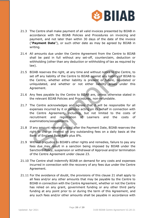

- 21.3 The Centre shall make payment of all valid invoices presented by BIIAB in accordance with the BIIAB Policies and Procedures on invoicing and payment, and not later than within 30 days of the date of the invoice ("**Payment Date**"), or such other date as may be agreed by BIIAB in writing.
- 21.4 All amounts due under the Centre Agreement from the Centre to BIIAB shall be paid in full without any set-off, counterclaim, deduction or withholding (other than any deduction or withholding of tax as required by law).
- 21.5 BIIAB reserves the right, at any time and without notice to the Centre, to set off any liability of the Centre to BIIAB against any liability of BIIAB to the Centre, whether either liability is present or future, liquidated or unliquidated, and whether or not either liability arises under this Agreement.
- 21.6 Any fees payable by the Centre to BIIAB are, unless otherwise stated in the relevant BIIAB Policies and Procedures, non-refundable.
- 21.7 The Centre acknowledges and agrees that it will be responsible for all expenses incurred by it or persons acting on its behalf in connection with the Centre Agreement, including, but not limited to the costs of recruitment and registration of Learners and the costs of examinations/assessments. BITAB reserves the right, at any time and without notice to the C<br>set off any liability of the Centre to BIIAB against any liability of<br>the Centre, whether either liability is present or future, liqui<br>unliquidated, and whe
- 21.8 If any amount remains unpaid after the Payment Date, BIIAB reserves the right to charge interest on any outstanding fees on a daily basis at the Bank of England Base Rate plus 8%.
- 21.9 Without prejudice to BIIAB's other rights and remedies, failure to pay any fees due may result in a sanction being imposed by BIIAB under the Sanctions Policy, suspension or withdrawal of Approval and/or termination of the Centre Agreement under clause 23.
- 21.10 The Centre shall indemnify BIIAB on demand for any costs and expenses incurred in connection with the recovery of any fees due under the Centre Agreement.
- 21.11 For the avoidance of doubt, the provisions of this clause 21 shall apply to all fees and/or any other amounts that may be payable by the Centre to BIIAB in connection with the Centre Agreement, whether or not the Centre has relied on any grant, government funding or any other third party funding at any point prior to or during the term of this Agreement, and any such fees and/or other amounts shall be payable in accordance with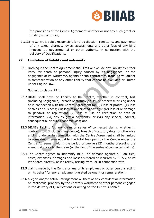

the provisions of the Centre Agreement whether or not any such grant or funding is continuing.

21.12The Centre is solely responsible for the collection, remittance and payments of any taxes, charges, levies, assessments and other fees of any kind imposed by governmental or other authority in connection with the delivery of Qualifications.

## **22 Limitation of liability and indemnity**

22.1 Nothing in the Centre Agreement shall limit or exclude any liability by either Party for death or personal injury caused by its negligence, or the negligence of its Workforce, agents or sub-contractors, fraud or fraudulent misrepresentation or any other liability that cannot be excluded or limited under English law.

Subject to clause 22.1:

- 22.2 BIIAB shall have no liability to the Centre, whether in contract, tort (including negligence), breach of statutory duty, or otherwise arising under or in connection with the Centre Agreement for: (i) loss of profits; (ii) loss of sales or business; (iii) loss of anticipated savings; (iv) loss of or damage to goodwill or reputation; (v) loss of use or corruption of data or information; (vi) any ex gratia payments; or (vii) any special, indirect, consequential or pure economic loss; and othing in the Centre Agreement shall limit or exclude any liability<br>arty for death or personal injury caused by its negligence,<br>egligence of its Workforce, agents or sub-contractors, fraud or fr<br>alisepares of its Workforce
- 22.3 BIIAB's liability for any claim or series of connected claims whether in contract, tort (including negligence), breach of statutory duty, or otherwise arising under or in connection with the Centre Agreement shall be limited to a maximum sum equal to the total fees paid by the Centre under the Centre Agreement within the period of twelve (12) months preceding the event giving rise to the claim (or the first of the series of connected claims).
- 22.4 The Centre agrees to indemnify BIIAB on demand against all liabilities, costs, expenses, damages and losses suffered or incurred by BIIAB, or its Workforce directly, or indirectly, arising from, or in connection with:
- 22.5 claims made by the Centre or any of its employees or other persons acting on its behalf for any employment-related payment or remuneration;
- 22.6 alleged and/or actual infringement or theft of any confidential information or intellectual property by the Centre's Workforce or other persons engaged in the delivery of Qualifications or acting on the Centre's behalf;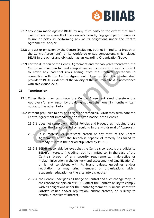

- 22.7 any claim made against BIIAB by any third party to the extent that such claim arises as a result of the Centre's breach, negligent performance or failure or delay in performing any of its obligations under the Centre Agreement; and/or
- 22.8 any act or omission by the Centre (including, but not limited to, a breach of the Centre Agreement), or its Workforce or sub-contractors, which places BIIAB in breach of any obligation as an Awarding Organisation/Body.
- 22.9 For the duration of the Centre Agreement and for two years thereafter, the Centre will maintain full and comprehensive insurance at a level sufficient to cover any potential risks arising from the Centre's operations in connection with the Centre Agreement. Upon request, the Centre shall provide to BIIAB evidence of the validity of the insurance held in accordance with this clause 22.4. entre will maintain full and comprehensive insurance at a level solution with the Centre Agreement. Upon request, the Centro-<br>covide to BIIAB evidence of the validity of the insurance held in accordio<br>to SIIAB evidence of

## **23 Termination**

- 23.1 Either Party may terminate the Centre Agreement (and therefore the Approval) for any reason by providing not less than one (1) months written notice to the other Party.
- 23.2 Without prejudice to any of its rights or remedies, BIIAB may terminate the Centre Agreement immediately on written notice if the Centre:
	- 23.2.1 does not comply with BIIAB Policies and Procedures including those under the Sanctions Policy resulting in the withdrawal of Approval;
	- 23.2.2 is in material or persistent breach of any term of the Centre Agreement, and if the breach is capable of remedy has failed to remedy it within the period stipulated by BIIAB;
	- 23.2.3 BIIAB reasonably believes that the Centre's conduct is prejudicial to BIIAB's interests (including, but not limited to, in the case of the Centre's breach of any security requirements, malpractice or maladministration in the delivery and assessment of Qualifications), or is not consistent with its brand values, guidelines and/or reputation, or may bring members or organisations within academia, education or the arts into disrepute;
	- 23.2.4 the Centre undergoes a Change of Control and such change may, in the reasonable opinion of BIIAB, affect the Centre's ability to comply with its obligations under the Centre Agreement, is inconsistent with BIIAB's values and/or reputation, and/or creates, or is likely to create, a conflict of interest;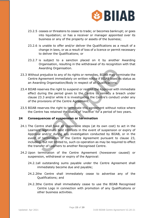

- 23.2.5 ceases or threatens to cease to trade; or becomes bankrupt; or goes into liquidation; or has a receiver or manager appointed over its business or any of the property or assets of the business;
- 23.2.6 is unable to offer and/or deliver the Qualifications as a result of a change in laws, or as a result of loss of a licence or permit necessary to deliver the Qualifications; or
- 23.2.7 is subject to a sanction placed on it by another Awarding Organisation, resulting in the withdrawal of its recognition with that Awarding Organisation.
- 23.3 Without prejudice to any of its rights or remedies, BIIAB may terminate the Centre Agreement immediately on written notice if BIIAB loses its status as an Awarding Organisation/Body in respect of all Qualifications.
- 23.4 BIIAB reserves the right to suspend or restrict the Approval with immediate effect during the period given to the Centre to remedy a breach under clause 23.3 and/or while it is investigating the Centre's conduct under any of the provisions of the Centre Agreement.
- 23.5 BIIAB reserves the right to terminate this agreement without notice where the Centre has retained the status of 'inactive' for a period of two years.

## **24 Consequences of suspension or termination**

- 24.1 The Centre shall take all reasonable steps (at its own cost) to act in the Learners' legitimate best interests in the event of suspension or expiry of Approval and/or during any investigation conducted by BIIAB, or in the event of termination of the Centre Agreement pursuant to clause 23, including, but not limited to, such co-operation as may be required to effect the transfer of Learners to another Recognised Centre. Awarding Organisation.<br>
Surface to any of its rights or remedies, BIJAB may term<br>
entre Agreement immediately on written notice if BIJAB loses its<br>
in Awarding Organisation/Body in respect of all Qualifications.<br>
IIAB rese
- 24.2 Upon termination of the Centre Agreement (howsoever caused) or suspension, withdrawal or expiry of the Approval:
	- 24.2.1all outstanding sums payable under the Centre Agreement shall immediately become due and payable;
	- 24.2.2the Centre shall immediately cease to advertise any of the Qualifications; and
	- 24.2.3the Centre shall immediately cease to use the BIIAB Recognised Centre Logo in connection with promotion of any Qualifications or other business activities.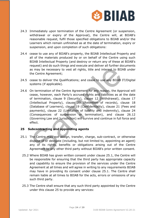

- 24.3 Immediately upon termination of the Centre Agreement (or suspension, withdrawal or expiry of the Approval), the Centre will, at BIIAB's reasonable request, fulfil those specified obligations to BIIAB and/or the Learners which remain unfinished as at the date of termination, expiry or suspension, and upon completion of such obligations:
- 24.4 cease to use any of BIIAB's property, the BIIAB Intellectual Property and all of the materials produced by or on behalf of the Centre using such BIIAB Intellectual Property (and destroy or return any of these at BIIAB's request) and do such things and execute and deliver all further documents as may be necessary to vest all rights, title and interest to BIIAB under the Centre Agreement;
- 24.5 cease to deliver the Qualifications; and cease to use any BIIAB IT/Digital systems (if applicable).
- 24.6 On termination of the Centre Agreement for any reason, the Approval will cease, however, each Party's accrued rights and liabilities as at the date of termination, clause 9 (Security), clause 12 (Withdrawal), clause 17 (Intellectual Property), clause 20 (Retention of records), clause 18 (Database of Learners), clause 19 (Confidentiality), clause 21 (Fees and payments), clause 22 (Limitation of liability and indemnity), clause 24 (Consequences of suspension or termination), and clause 26.12 (Governing Law and Jurisdiction) will survive and continue in full force and effect. ass may be necessary to vest all rights, title and interest to BIIA<br>the Centre Agreement;<br>the Centre Agreement;<br>cease to deliver the Qualifications; and cease to use any BIIAB I<br>systems (if applicable).<br>On termination of t

## **25 Subcontracting and appointing agents**

- 25.1 The Centre may not assign, transfer, charge, sub-contract, or otherwise dispose of or delegate (including, but not limited to, appointing an agent) any of its rights, benefits or obligations arising out of the Centre Agreement to any other third party without BIIAB's prior written consent.
	- 25.2 Where BIIAB has given written consent under clause 25.1, the Centre will be responsible for ensuring that the third party has appropriate capacity and capability to ensure the provision of the services under the Centre Agreement at all times and will agree in writing to any requirements BIIAB may have in providing its consent under clause 25.1. The Centre shall remain liable at all times to BIIAB for the acts, errors or omissions of any such third party.
	- 25.3 The Centre shall ensure that any such third party appointed by the Centre under this clause 25 to provide any services: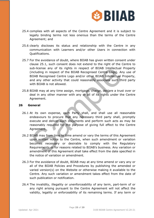

- 25.4 complies with all aspects of the Centre Agreement and it is subject to legally binding terms not less onerous than the terms of the Centre Agreement; and
- 25.6 clearly discloses its status and relationship with the Centre in any communication with Learners and/or other Users in connection with Qualifications.
- 25.7 For the avoidance of doubt, where BIIAB has given written consent under clause 25.1, such consent does not extend to the right of the Centre to sub-license any of its rights in respect of BIIAB Intellectual Property (including in respect of the BIIAB Recognised Centre Logo). Any use of BIIAB Recognised Centre Logo and/or other BIIAB Intellectual Property, and any other activity that could reasonably associate such third party with BIIAB is not allowed.
- 25.8 BIIAB may at any time assign, mortgage, charge, declare a trust over or deal in any other manner with any or all of its rights under the Centre Agreement.

#### **26 General**

- 26.1 At its own expense, each Party shall, and shall use all reasonable endeavours to procure that any necessary third party shall, promptly execute and deliver such documents and perform such acts as may be reasonably required for the purpose of giving full effect to the Centre Agreement.
- 26.2 BIIAB may from time to time amend or vary the terms of this Agreement upon written notice to the Centre, when such amendment or variation becomes necessary or desirable to comply with the Regulatory Requirements or for reasons related to BIIAB's business. Any variation or amendment of this Agreement shall take effect from the date specified in the notice of variation or amendment. sub-license any of its rights in respect of BIIAB Intellectual<br>(including in respect of the BIIAB Recognised Centre Logo). An<br>BIIAB Recognised Centre Logo and/or other BIIAB Intellectual I<br>and any other activity that could
- 26.3 For the avoidance of doubt, BIIAB may at any time amend or vary any or all of the BIIAB Policies and Procedures by publishing the amended or varied version(s) on the Website or otherwise making it available to the Centre. Any such variation or amendment takes effect from the date of such publication or notification.
- 26.4 The invalidity, illegality or unenforceability of any term, part-term of or any right arising pursuant to the Centre Agreement will not affect the validity, legality or enforceability of its remaining terms. If any term or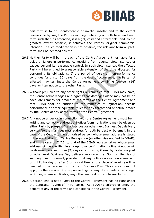

part-term is found unenforceable or invalid, insofar and to the extent permissible by law, the Parties will negotiate in good faith to amend such term such that, as amended, it is legal, valid and enforceable, and, to the greatest extent possible, it achieves the Parties' original commercial intention. If such modification is not possible, the relevant term or partterm shall be deemed deleted.

- 26.5 Neither Party will be in breach of the Centre Agreement nor liable for a delay or failure in performance resulting from events, circumstances or causes beyond its reasonable control. In such circumstances the affected Party will be entitled to a reasonable extension of the time allocated for performing its obligations. If the period of delay or non-performance continues for thirty (30) days from the date of occurrence, the Party not affected may terminate the Centre Agreement by giving fourteen (14) days' written notice to the other Party.
- 26.6 Without prejudice to any other rights or remedies that BIIAB may have, the Centre acknowledges and agrees that damages alone may not be an adequate remedy for breach of the terms of the Centre Agreement and that BIIAB shall be entitled to the remedies of injunction, specific performance or other equitable relief for any threatened or actual breach by the Centre of any of the terms of the Centre Agreement.
- 26.7 Any notice under or in connection with the Centre Agreement must be in writing and correctly addressed. Notices/communications may be given by either Party by pre-paid first-class post or other next Business Day delivery service (to the main business address for both Parties) or by email, in the case of the Centre to the authorised person whose email address is stated in the Application for Centre Recognition (or otherwise notified to BIIAB), and in the case of BIIAB, to that of the BIIAB representative whose email address will be specified in any Approval confirmation notice. A notice will be deemed received three (3) days after posting if sent by first-class post or other next Business Day delivery service and at 5pm on the day of sending if sent by email, provided that any notice received on a weekend or public holiday or after 5 pm (local time at the place of receipt) will be deemed to be received on the next Business Day. This clause does not apply to the service of any proceedings or any documents in any legal action or, where applicable, any other method of dispute resolution. Party will be entitled to a reasonable extension of the time allo<br>performing its obligations. If the period of delay or non-perf<br>continues for thirty (30) days from the date of occurrence, the Ille<br>affected may terminate t
- 26.8 A person who is not a Party to the Centre Agreement has no right under the Contracts (Rights of Third Parties) Act 1999 to enforce or enjoy the benefit of any of the terms and conditions in the Centre Agreement.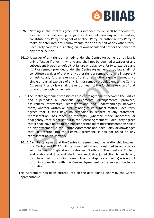

- 26.9 Nothing in the Centre Agreement is intended to, or shall be deemed to, establish any partnership or joint venture between any of the Parties, constitute any Party the agent of another Party, or authorise any Party to make or enter into any commitments for or on behalf of any other Party. Each Party confirms it is acting on its own behalf and not for the benefit of any other person.
- 26.10 A waiver of any right or remedy under the Centre Agreement or by law is only effective if given in writing and shall not be deemed a waiver of any subsequent breach or default. A failure or delay by a Party to exercise any right or remedy provided under the Centre Agreement or by law shall not constitute a waiver of that or any other right or remedy, nor shall it prevent or restrict any further exercise of that or any other right or remedy. No single or partial exercise of any right or remedy provided under the Centre Agreement or by law shall prevent or restrict the further exercise of that or any other right or remedy.
- 26.11 The Centre Agreement constitutes the entire agreement between the Parties and supersedes all previous agreements, arrangements, promises, assurances, warranties, representations and understandings between them, whether written or oral, relating to its subject matter. Each Party agrees that it shall have no remedies in respect of any statement, representation, assurance or warranty (whether made innocently or negligently) that is not set out in the Centre Agreement. Each Party agrees that it shall have no claim for innocent or negligent misrepresentation based on any statement in the Centre Agreement and each Party acknowledges that, in entering into the Centre Agreement, it has not relied on any representation or warranty. right or remedy provided under the Centre Agreement or by law<br>constitute a waiver of that or any other right or remedy, nor shall it<br>or restrict any further exercise of that or any other right or remedy<br>in the right or rem
	- 26.12 Each Party agrees that the Centre Agreement and the relationship between the Centre and BIIAB will be governed by and construed in accordance with the law of England and Wales and Scotland. The courts of England and Wales and Scotland shall have exclusive jurisdiction to settle any dispute or claim (including non-contractual disputes or claims) arising out of or in connection with the Centre Agreement or its subject matter or formation.

This Agreement has been entered into on the date signed below by the Centre Representative.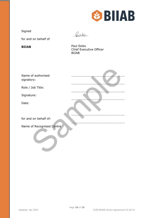

Signed

fredo

for and on behalf of

**BIIAB** Paul Eeles Chief Executive Officer BIIAB

| Name of authorised        |  |
|---------------------------|--|
| signatory:                |  |
| Role / Job Title:         |  |
| Signature:                |  |
| Date:                     |  |
| for and on behalf of:     |  |
| Name of Recognised Centre |  |